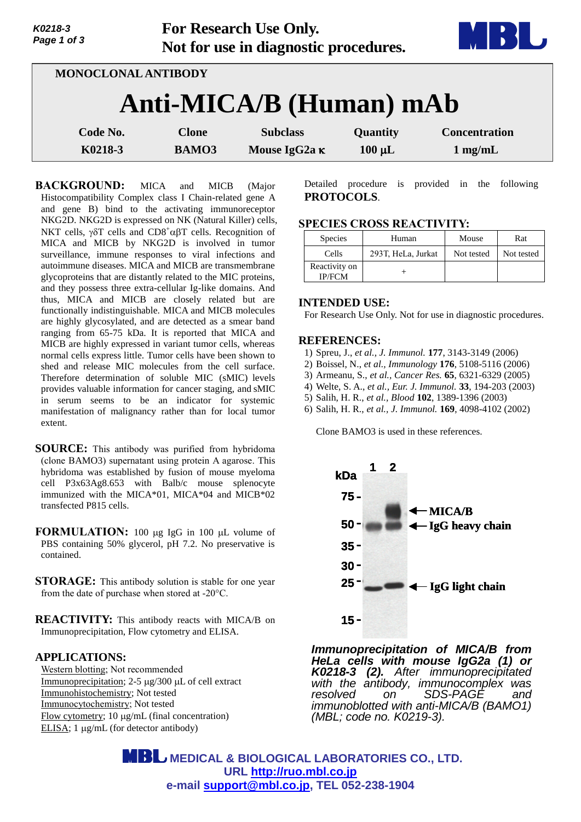| K0218-3<br>Page 1 of 3 |                         | <b>For Research Use Only.</b><br>Not for use in diagnostic procedures. |             | $\mathbf{L}$         |
|------------------------|-------------------------|------------------------------------------------------------------------|-------------|----------------------|
|                        | MONOCLONAL ANTIBODY     |                                                                        |             |                      |
|                        | Anti-MICA/B (Human) mAb |                                                                        |             |                      |
| Code No.               | <b>Clone</b>            | <b>Subclass</b>                                                        | Quantity    | <b>Concentration</b> |
| K0218-3                | <b>BAMO3</b>            | Mouse IgG2a κ                                                          | $100 \mu L$ | $1$ mg/mL            |

**BACKGROUND:** MICA and MICB (Major Histocompatibility Complex class I Chain-related gene A and gene B) bind to the activating immunoreceptor NKG2D. NKG2D is expressed on NK (Natural Killer) cells, NKT cells,  $\gamma \delta T$  cells and CD8<sup>+</sup> $\alpha \beta T$  cells. Recognition of MICA and MICB by NKG2D is involved in tumor surveillance, immune responses to viral infections and autoimmune diseases. MICA and MICB are transmembrane glycoproteins that are distantly related to the MIC proteins, and they possess three extra-cellular Ig-like domains. And thus, MICA and MICB are closely related but are functionally indistinguishable. MICA and MICB molecules are highly glycosylated, and are detected as a smear band ranging from 65-75 kDa. It is reported that MICA and MICB are highly expressed in variant tumor cells, whereas normal cells express little. Tumor cells have been shown to shed and release MIC molecules from the cell surface. Therefore determination of soluble MIC (sMIC) levels provides valuable information for cancer staging, and sMIC in serum seems to be an indicator for systemic manifestation of malignancy rather than for local tumor extent.

**SOURCE:** This antibody was purified from hybridoma (clone BAMO3) supernatant using protein A agarose. This hybridoma was established by fusion of mouse myeloma cell P3x63Ag8.653 with Balb/c mouse splenocyte immunized with the MICA\*01, MICA\*04 and MICB\*02 transfected P815 cells.

**FORMULATION:** 100 µg IgG in 100 µL volume of PBS containing 50% glycerol, pH 7.2. No preservative is contained.

**STORAGE:** This antibody solution is stable for one year from the date of purchase when stored at -20°C.

**REACTIVITY:** This antibody reacts with MICA/B on Immunoprecipitation, Flow cytometry and ELISA.

## **APPLICATIONS:**

Western blotting; Not recommended Immunoprecipitation;  $2-5 \mu g/300 \mu L$  of cell extract Immunohistochemistry; Not tested Immunocytochemistry; Not tested Flow cytometry; 10 μg/mL (final concentration) ELISA;  $1 \mu g/mL$  (for detector antibody)

Detailed procedure is provided in the following **PROTOCOLS**.

## **SPECIES CROSS REACTIVITY:**

| <b>Species</b>                 | Human              | Mouse      | Rat        |
|--------------------------------|--------------------|------------|------------|
| Cells                          | 293T, HeLa, Jurkat | Not tested | Not tested |
| Reactivity on<br><b>IP/FCM</b> |                    |            |            |

## **INTENDED USE:**

For Research Use Only. Not for use in diagnostic procedures.

## **REFERENCES:**

- 1) Spreu, J., *et al., J. Immunol.* **177**, 3143-3149 (2006)
- 2) Boissel, N., *et al., Immunology* **176**, 5108-5116 (2006)
- 3) Armeanu, S., *et al., Cancer Res.* **65**, 6321-6329 (2005)
- 4) Welte, S. A., *et al., Eur. J. Immunol.* **33**, 194-203 (2003)
- 5) Salih, H. R., *et al., Blood* **102**, 1389-1396 (2003)
- 6) Salih, H. R., *et al., J. Immunol.* **169**, 4098-4102 (2002)

Clone BAMO3 is used in these references.



*Immunoprecipitation of MICA/B from HeLa cells with mouse IgG2a (1) or K0218-3 (2). After immunoprecipitated with the antibody, immunocomplex was*  on SDS-PAGE and *immunoblotted with anti-MICA/B (BAMO1) (MBL; code no. K0219-3).*

 **MEDICAL & BIOLOGICAL LABORATORIES CO., LTD. URL [http://ruo.mbl.co.jp](http://ruo.mbl.co.jp/) e-mail [support@mbl.co.jp,](mailto:support@mbl.co.jp) TEL 052-238-1904**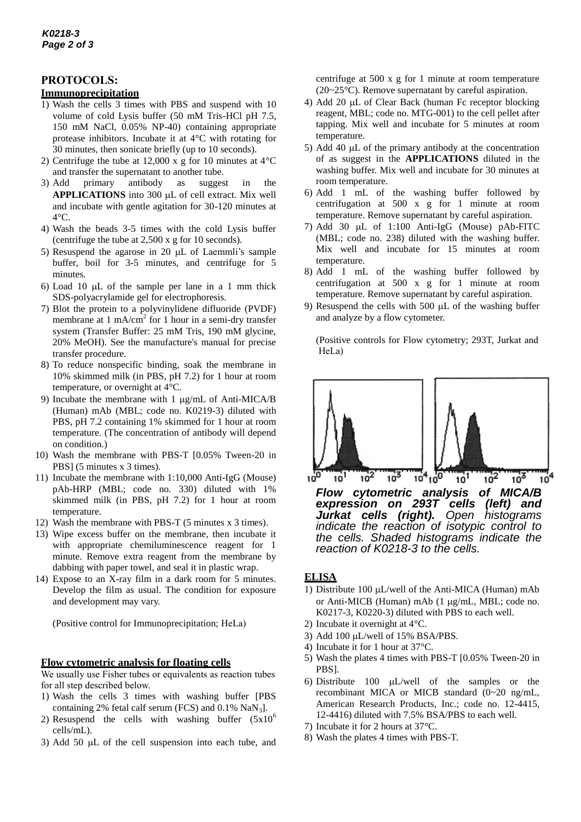# **PROTOCOLS:**

## **Immunoprecipitation**

- 1) Wash the cells 3 times with PBS and suspend with 10 volume of cold Lysis buffer (50 mM Tris-HCl pH 7.5, 150 mM NaCl, 0.05% NP-40) containing appropriate protease inhibitors. Incubate it at 4°C with rotating for 30 minutes, then sonicate briefly (up to 10 seconds).
- 2) Centrifuge the tube at 12,000 x g for 10 minutes at 4°C and transfer the supernatant to another tube.
- 3) Add primary antibody as suggest in the **APPLICATIONS** into 300 µL of cell extract. Mix well and incubate with gentle agitation for 30-120 minutes at 4°C.
- 4) Wash the beads 3-5 times with the cold Lysis buffer (centrifuge the tube at 2,500 x g for 10 seconds).
- 5) Resuspend the agarose in 20  $\mu$ L of Laemmli's sample buffer, boil for 3-5 minutes, and centrifuge for 5 minutes.
- 6) Load 10  $\mu$ L of the sample per lane in a 1 mm thick SDS-polyacrylamide gel for electrophoresis.
- 7) Blot the protein to a polyvinylidene difluoride (PVDF) membrane at 1 mA/ $\text{cm}^2$  for 1 hour in a semi-dry transfer system (Transfer Buffer: 25 mM Tris, 190 mM glycine, 20% MeOH). See the manufacture's manual for precise transfer procedure.
- 8) To reduce nonspecific binding, soak the membrane in 10% skimmed milk (in PBS, pH 7.2) for 1 hour at room temperature, or overnight at 4°C.
- 9) Incubate the membrane with 1  $\mu$ g/mL of Anti-MICA/B [\(Human\) mAb](http://ruo.mbl.co.jp/dtl/A/K0219-3/) (MBL; code no. K0219-3) diluted with PBS, pH 7.2 containing 1% skimmed for 1 hour at room temperature. (The concentration of antibody will depend on condition.)
- 10) Wash the membrane with PBS-T [0.05% Tween-20 in PBS] (5 minutes x 3 times).
- 11) Incubate the membrane with 1:10,000 Anti-IgG (Mouse) pAb-HRP (MBL; code no. 330) diluted with 1% skimmed milk (in PBS, pH 7.2) for 1 hour at room temperature.
- 12) Wash the membrane with PBS-T (5 minutes x 3 times).
- 13) Wipe excess buffer on the membrane, then incubate it with appropriate chemiluminescence reagent for 1 minute. Remove extra reagent from the membrane by dabbing with paper towel, and seal it in plastic wrap.
- 14) Expose to an X-ray film in a dark room for 5 minutes. Develop the film as usual. The condition for exposure and development may vary.

(Positive control for Immunoprecipitation; HeLa)

#### **Flow cytometric analysis for floating cells**

We usually use Fisher tubes or equivalents as reaction tubes for all step described below.

- 1) Wash the cells 3 times with washing buffer [PBS containing 2% fetal calf serum (FCS) and  $0.1\%$  NaN<sub>3</sub>].
- 2) Resuspend the cells with washing buffer  $(5x10^6)$ cells/mL).
- 3) Add 50  $\mu$ L of the cell suspension into each tube, and

centrifuge at 500 x g for 1 minute at room temperature (20~25°C). Remove supernatant by careful aspiration.

- 4) Add 20  $\mu$ L of Clear Back (human Fc receptor blocking reagent, MBL; code no. MTG-001) to the cell pellet after tapping. Mix well and incubate for 5 minutes at room temperature.
- 5) Add 40  $\mu$ L of the primary antibody at the concentration of as suggest in the **APPLICATIONS** diluted in the washing buffer. Mix well and incubate for 30 minutes at room temperature.
- 6) Add 1 mL of the washing buffer followed by centrifugation at 500 x g for 1 minute at room temperature. Remove supernatant by careful aspiration.
- 7) Add 30  $\mu$ L of 1:100 Anti-IgG (Mouse) pAb-FITC (MBL; code no. 238) diluted with the washing buffer. Mix well and incubate for 15 minutes at room temperature.
- 8) Add 1 mL of the washing buffer followed by centrifugation at 500 x g for 1 minute at room temperature. Remove supernatant by careful aspiration.
- 9) Resuspend the cells with  $500 \mu L$  of the washing buffer and analyze by a flow cytometer.

(Positive controls for Flow cytometry; 293T, Jurkat and HeLa)



*Flow cytometric analysis of MICA/B expression on 293T cells (left) and Jurkat cells (right). Open histograms indicate the reaction of isotypic control to the cells. Shaded histograms indicate the reaction of K0218-3 to the cells.* 

## **ELISA**

- 1) Distribute 100  $\mu$ L/well of the [Anti-MICA \(Human\) mAb](http://ruo.mbl.co.jp/dtl/A/K0217-3/) or [Anti-MICB \(Human\) mAb](http://ruo.mbl.co.jp/dtl/A/K0220-3/) (1 µg/mL, MBL; code no. K0217-3, K0220-3) diluted with PBS to each well.
- 2) Incubate it overnight at 4°C.
- 3) Add 100 µL/well of 15% BSA/PBS.
- 4) Incubate it for 1 hour at 37°C.
- 5) Wash the plates 4 times with PBS-T [0.05% Tween-20 in PBS].
- 6) Distribute 100  $\mu$ L/well of the samples or the recombinant MICA or MICB standard (0~20 ng/mL, American Research Products, Inc.; code no. 12-4415, 12-4416) diluted with 7.5% BSA/PBS to each well.
- 7) Incubate it for 2 hours at 37°C.
- 8) Wash the plates 4 times with PBS-T.